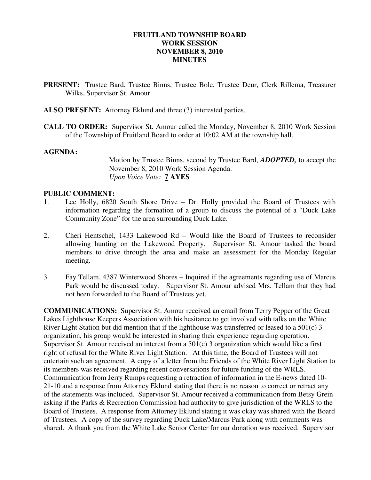## **FRUITLAND TOWNSHIP BOARD WORK SESSION NOVEMBER 8, 2010 MINUTES**

- **PRESENT:** Trustee Bard, Trustee Binns, Trustee Bole, Trustee Deur, Clerk Rillema, Treasurer Wilks, Supervisor St. Amour
- **ALSO PRESENT:** Attorney Eklund and three (3) interested parties.
- **CALL TO ORDER:** Supervisor St. Amour called the Monday, November 8, 2010 Work Session of the Township of Fruitland Board to order at 10:02 AM at the township hall.

#### **AGENDA:**

Motion by Trustee Binns, second by Trustee Bard, *ADOPTED,* to accept the November 8, 2010 Work Session Agenda.  *Upon Voice Vote:* **7 AYES** 

#### **PUBLIC COMMENT:**

- 1. Lee Holly, 6820 South Shore Drive Dr. Holly provided the Board of Trustees with information regarding the formation of a group to discuss the potential of a "Duck Lake Community Zone" for the area surrounding Duck Lake.
- 2, Cheri Hentschel, 1433 Lakewood Rd Would like the Board of Trustees to reconsider allowing hunting on the Lakewood Property. Supervisor St. Amour tasked the board members to drive through the area and make an assessment for the Monday Regular meeting.
- 3. Fay Tellam, 4387 Winterwood Shores Inquired if the agreements regarding use of Marcus Park would be discussed today. Supervisor St. Amour advised Mrs. Tellam that they had not been forwarded to the Board of Trustees yet.

**COMMUNICATIONS:** Supervisor St. Amour received an email from Terry Pepper of the Great Lakes Lighthouse Keepers Association with his hesitance to get involved with talks on the White River Light Station but did mention that if the lighthouse was transferred or leased to a 501(c) 3 organization, his group would be interested in sharing their experience regarding operation. Supervisor St. Amour received an interest from a 501(c) 3 organization which would like a first right of refusal for the White River Light Station. At this time, the Board of Trustees will not entertain such an agreement. A copy of a letter from the Friends of the White River Light Station to its members was received regarding recent conversations for future funding of the WRLS. Communication from Jerry Rumps requesting a retraction of information in the E-news dated 10- 21-10 and a response from Attorney Eklund stating that there is no reason to correct or retract any of the statements was included. Supervisor St. Amour received a communication from Betsy Grein asking if the Parks & Recreation Commission had authority to give jurisdiction of the WRLS to the Board of Trustees. A response from Attorney Eklund stating it was okay was shared with the Board of Trustees. A copy of the survey regarding Duck Lake/Marcus Park along with comments was shared. A thank you from the White Lake Senior Center for our donation was received. Supervisor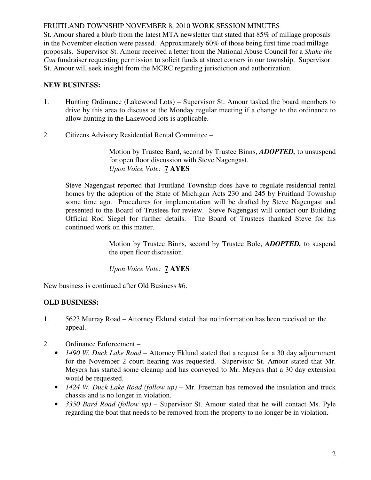St. Amour shared a blurb from the latest MTA newsletter that stated that 85% of millage proposals in the November election were passed. Approximately 60% of those being first time road millage proposals. Supervisor St. Amour received a letter from the National Abuse Council for a *Shake the Can* fundraiser requesting permission to solicit funds at street corners in our township. Supervisor St. Amour will seek insight from the MCRC regarding jurisdiction and authorization.

# **NEW BUSINESS:**

- 1. Hunting Ordinance (Lakewood Lots) Supervisor St. Amour tasked the board members to drive by this area to discuss at the Monday regular meeting if a change to the ordinance to allow hunting in the Lakewood lots is applicable.
- 2. Citizens Advisory Residential Rental Committee –

 Motion by Trustee Bard, second by Trustee Binns, *ADOPTED,* to unsuspend for open floor discussion with Steve Nagengast. *Upon Voice Vote:* **7 AYES**

 Steve Nagengast reported that Fruitland Township does have to regulate residential rental homes by the adoption of the State of Michigan Acts 230 and 245 by Fruitland Township some time ago. Procedures for implementation will be drafted by Steve Nagengast and presented to the Board of Trustees for review. Steve Nagengast will contact our Building Official Rod Siegel for further details. The Board of Trustees thanked Steve for his continued work on this matter.

> Motion by Trustee Binns, second by Trustee Bole, *ADOPTED,* to suspend the open floor discussion.

*Upon Voice Vote:* **7 AYES**

New business is continued after Old Business #6.

# **OLD BUSINESS:**

- 1. 5623 Murray Road Attorney Eklund stated that no information has been received on the appeal.
- 2. Ordinance Enforcement
	- *1490 W. Duck Lake Road –* Attorney Eklund stated that a request for a 30 day adjournment for the November 2 court hearing was requested. Supervisor St. Amour stated that Mr. Meyers has started some cleanup and has conveyed to Mr. Meyers that a 30 day extension would be requested.
	- *1424 W. Duck Lake Road (follow up)* Mr. Freeman has removed the insulation and truck chassis and is no longer in violation.
	- *3350 Bard Road (follow up)* Supervisor St. Amour stated that he will contact Ms. Pyle regarding the boat that needs to be removed from the property to no longer be in violation.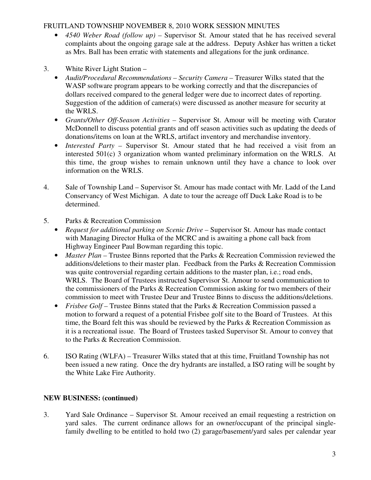- *4540 Weber Road (follow up)* Supervisor St. Amour stated that he has received several complaints about the ongoing garage sale at the address. Deputy Ashker has written a ticket as Mrs. Ball has been erratic with statements and allegations for the junk ordinance.
- 3. White River Light Station
	- *Audit/Procedural Recommendations Security Camera* Treasurer Wilks stated that the WASP software program appears to be working correctly and that the discrepancies of dollars received compared to the general ledger were due to incorrect dates of reporting. Suggestion of the addition of camera(s) were discussed as another measure for security at the WRLS.
	- *Grants/Other Off-Season Activities* Supervisor St. Amour will be meeting with Curator McDonnell to discuss potential grants and off season activities such as updating the deeds of donations/items on loan at the WRLS, artifact inventory and merchandise inventory.
	- *Interested Party –* Supervisor St. Amour stated that he had received a visit from an interested 501(c) 3 organization whom wanted preliminary information on the WRLS. At this time, the group wishes to remain unknown until they have a chance to look over information on the WRLS.
- 4. Sale of Township Land Supervisor St. Amour has made contact with Mr. Ladd of the Land Conservancy of West Michigan. A date to tour the acreage off Duck Lake Road is to be determined.
- 5. Parks & Recreation Commission
	- *Request for additional parking on Scenic Drive Supervisor St. Amour has made contact* with Managing Director Hulka of the MCRC and is awaiting a phone call back from Highway Engineer Paul Bowman regarding this topic.
	- *Master Plan* Trustee Binns reported that the Parks & Recreation Commission reviewed the additions/deletions to their master plan. Feedback from the Parks & Recreation Commission was quite controversial regarding certain additions to the master plan, i.e.; road ends, WRLS. The Board of Trustees instructed Supervisor St. Amour to send communication to the commissioners of the Parks & Recreation Commission asking for two members of their commission to meet with Trustee Deur and Trustee Binns to discuss the additions/deletions.
	- *Frisbee Golf* Trustee Binns stated that the Parks & Recreation Commission passed a motion to forward a request of a potential Frisbee golf site to the Board of Trustees. At this time, the Board felt this was should be reviewed by the Parks & Recreation Commission as it is a recreational issue. The Board of Trustees tasked Supervisor St. Amour to convey that to the Parks & Recreation Commission.
- 6. ISO Rating (WLFA) Treasurer Wilks stated that at this time, Fruitland Township has not been issued a new rating. Once the dry hydrants are installed, a ISO rating will be sought by the White Lake Fire Authority.

# **NEW BUSINESS: (continued)**

3. Yard Sale Ordinance – Supervisor St. Amour received an email requesting a restriction on yard sales. The current ordinance allows for an owner/occupant of the principal single family dwelling to be entitled to hold two (2) garage/basement/yard sales per calendar year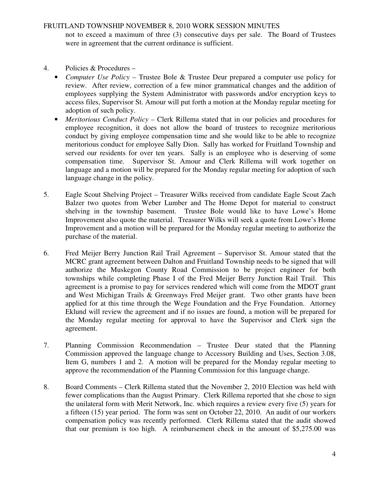not to exceed a maximum of three (3) consecutive days per sale. The Board of Trustees were in agreement that the current ordinance is sufficient.

- 4. Policies & Procedures
	- *Computer Use Policy –* Trustee Bole & Trustee Deur prepared a computer use policy for review. After review, correction of a few minor grammatical changes and the addition of employees supplying the System Administrator with passwords and/or encryption keys to access files, Supervisor St. Amour will put forth a motion at the Monday regular meeting for adoption of such policy.
	- *Meritorious Conduct Policy* Clerk Rillema stated that in our policies and procedures for employee recognition, it does not allow the board of trustees to recognize meritorious conduct by giving employee compensation time and she would like to be able to recognize meritorious conduct for employee Sally Dion. Sally has worked for Fruitland Township and served our residents for over ten years. Sally is an employee who is deserving of some compensation time. Supervisor St. Amour and Clerk Rillema will work together on language and a motion will be prepared for the Monday regular meeting for adoption of such language change in the policy.
- 5. Eagle Scout Shelving Project Treasurer Wilks received from candidate Eagle Scout Zach Balzer two quotes from Weber Lumber and The Home Depot for material to construct shelving in the township basement. Trustee Bole would like to have Lowe's Home Improvement also quote the material. Treasurer Wilks will seek a quote from Lowe's Home Improvement and a motion will be prepared for the Monday regular meeting to authorize the purchase of the material.
- 6. Fred Meijer Berry Junction Rail Trail Agreement Supervisor St. Amour stated that the MCRC grant agreement between Dalton and Fruitland Township needs to be signed that will authorize the Muskegon County Road Commission to be project engineer for both townships while completing Phase I of the Fred Meijer Berry Junction Rail Trail. This agreement is a promise to pay for services rendered which will come from the MDOT grant and West Michigan Trails & Greenways Fred Meijer grant. Two other grants have been applied for at this time through the Wege Foundation and the Frye Foundation. Attorney Eklund will review the agreement and if no issues are found, a motion will be prepared for the Monday regular meeting for approval to have the Supervisor and Clerk sign the agreement.
- 7. Planning Commission Recommendation Trustee Deur stated that the Planning Commission approved the language change to Accessory Building and Uses, Section 3.08, Item G, numbers 1 and 2. A motion will be prepared for the Monday regular meeting to approve the recommendation of the Planning Commission for this language change.
- 8. Board Comments Clerk Rillema stated that the November 2, 2010 Election was held with fewer complications than the August Primary. Clerk Rillema reported that she chose to sign the unilateral form with Merit Network, Inc. which requires a review every five (5) years for a fifteen (15) year period. The form was sent on October 22, 2010. An audit of our workers compensation policy was recently performed. Clerk Rillema stated that the audit showed that our premium is too high. A reimbursement check in the amount of \$5,275.00 was